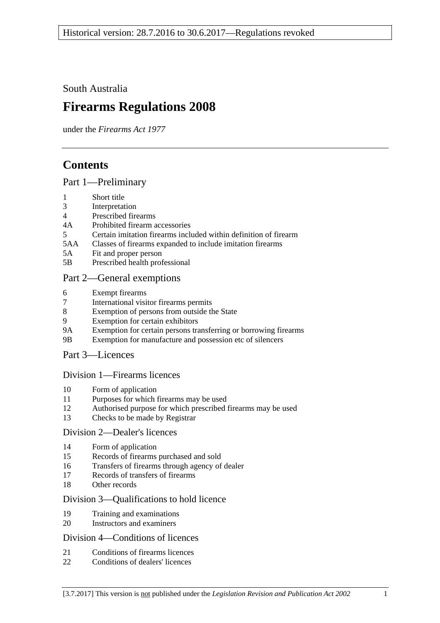South Australia

# **Firearms Regulations 2008**

under the *Firearms Act 1977*

# **Contents**

### [Part 1—Preliminary](#page-2-0)

- 1 [Short title](#page-2-1)
- 3 [Interpretation](#page-2-2)
- 4 [Prescribed firearms](#page-3-0)
- 4A [Prohibited firearm accessories](#page-3-1)
- 5 [Certain imitation firearms included within definition of firearm](#page-4-0)
- 5AA [Classes of firearms expanded to include imitation firearms](#page-5-0)
- 5A [Fit and proper person](#page-5-1)
- 5B [Prescribed health professional](#page-6-0)

### [Part 2—General exemptions](#page-6-1)

- 6 [Exempt firearms](#page-6-2)
- 7 [International visitor firearms permits](#page-7-0)
- 8 [Exemption of persons from outside the State](#page-8-0)
- 9 [Exemption for certain exhibitors](#page-8-1)
- 9A [Exemption for certain persons transferring or borrowing firearms](#page-9-0)
- 9B [Exemption for manufacture and possession etc of silencers](#page-9-1)

### [Part 3—Licences](#page-9-2)

### [Division 1—Firearms licences](#page-9-3)

- 10 [Form of application](#page-9-4)
- 11 [Purposes for which firearms may be used](#page-10-0)
- 12 [Authorised purpose for which prescribed firearms may be used](#page-10-1)
- 13 [Checks to be made by Registrar](#page-11-0)

### [Division 2—Dealer's licences](#page-11-1)

- 14 [Form of application](#page-11-2)
- 15 [Records of firearms purchased](#page-11-3) and sold
- 16 [Transfers of firearms through agency of dealer](#page-11-4)
- 17 [Records of transfers of firearms](#page-11-5)
- 18 [Other records](#page-12-0)

### [Division 3—Qualifications to hold licence](#page-12-1)

- 19 [Training and examinations](#page-12-2)
- 20 [Instructors and examiners](#page-13-0)

### [Division 4—Conditions of licences](#page-13-1)

- 21 [Conditions of firearms licences](#page-13-2)
- 22 [Conditions of dealers' licences](#page-16-0)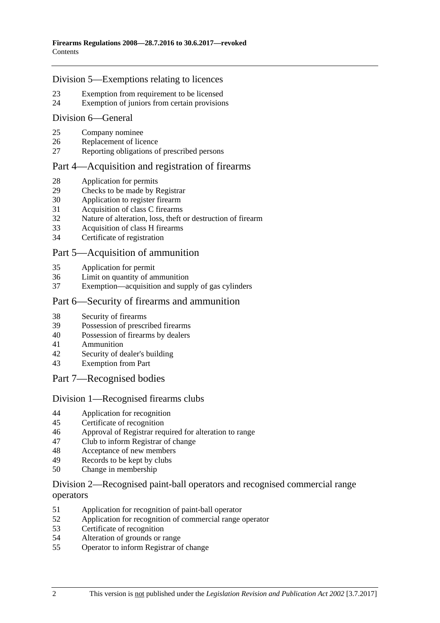### [Division 5—Exemptions relating to licences](#page-17-0)

- [Exemption from requirement to be licensed](#page-17-1)
- [Exemption of juniors from certain provisions](#page-19-0)

### [Division 6—General](#page-19-1)

- [Company nominee](#page-19-2)
- [Replacement of licence](#page-20-0)
- [Reporting obligations of prescribed persons](#page-20-1)

### [Part 4—Acquisition and registration of firearms](#page-20-2)

- [Application for permits](#page-20-3)
- [Checks to be made by Registrar](#page-20-4)
- [Application to register firearm](#page-20-5)
- [Acquisition of class C firearms](#page-20-6)
- [Nature of alteration, loss, theft or destruction of firearm](#page-21-0)
- [Acquisition of class H firearms](#page-21-1)
- [Certificate of registration](#page-22-0)

### [Part 5—Acquisition of ammunition](#page-22-1)

- [Application for permit](#page-22-2)
- [Limit on quantity of ammunition](#page-22-3)<br>37 Exemption—acquisition and supply
- [Exemption—acquisition and supply of gas cylinders](#page-22-4)

### [Part 6—Security of firearms and ammunition](#page-22-5)

- [Security of firearms](#page-22-6)
- [Possession of prescribed firearms](#page-23-0)
- [Possession of firearms by dealers](#page-23-1)
- [Ammunition](#page-23-2)
- [Security of dealer's building](#page-23-3)
- [Exemption from Part](#page-24-0)
- [Part 7—Recognised bodies](#page-24-1)

### [Division 1—Recognised firearms clubs](#page-24-2)

- [Application for recognition](#page-24-3)
- [Certificate of recognition](#page-24-4)
- [Approval of Registrar required for alteration to range](#page-25-0)<br>47 Club to inform Registrar of change
- [Club to inform Registrar of change](#page-25-1)
- [Acceptance of new members](#page-25-2)
- [Records to be kept by clubs](#page-26-0)
- [Change in membership](#page-26-1)

### [Division 2—Recognised paint-ball operators and recognised commercial range](#page-26-2)  [operators](#page-26-2)

- [Application for recognition of paint-ball operator](#page-26-3)
- [Application for recognition of commercial range operator](#page-27-0)
- [Certificate of recognition](#page-27-1)
- [Alteration of grounds or range](#page-27-2)
- [Operator to inform Registrar of change](#page-27-3)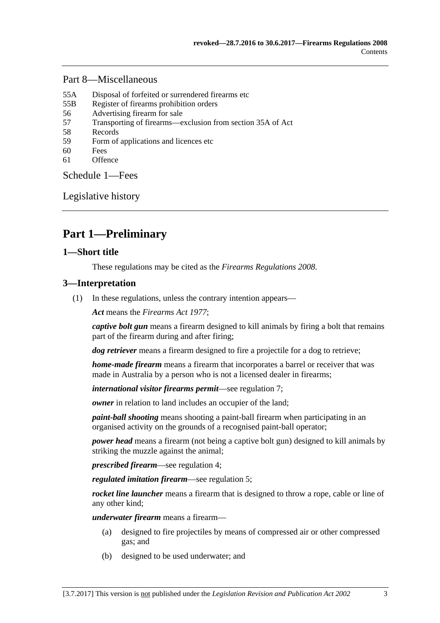### [Part 8—Miscellaneous](#page-28-0)

- 55A [Disposal of forfeited or surrendered firearms etc](#page-28-1)
- 55B [Register of firearms prohibition orders](#page-28-2)
- 56 [Advertising firearm for sale](#page-29-0)
- 57 [Transporting of firearms—exclusion from section 35A of Act](#page-29-1)
- 58 [Records](#page-29-2)
- 59 [Form of applications and licences etc](#page-29-3)
- 60 [Fees](#page-29-4)
- 61 [Offence](#page-29-5)

[Schedule](#page-29-6) 1—Fees

[Legislative history](#page-31-0)

# <span id="page-2-0"></span>**Part 1—Preliminary**

### <span id="page-2-1"></span>**1—Short title**

These regulations may be cited as the *Firearms Regulations 2008*.

### <span id="page-2-2"></span>**3—Interpretation**

(1) In these regulations, unless the contrary intention appears—

*Act* means the *[Firearms Act](http://www.legislation.sa.gov.au/index.aspx?action=legref&type=act&legtitle=Firearms%20Act%201977) 1977*;

*captive bolt gun* means a firearm designed to kill animals by firing a bolt that remains part of the firearm during and after firing;

*dog retriever* means a firearm designed to fire a projectile for a dog to retrieve;

*home-made firearm* means a firearm that incorporates a barrel or receiver that was made in Australia by a person who is not a licensed dealer in firearms;

*international visitor firearms permit*—see [regulation](#page-7-0) 7;

*owner* in relation to land includes an occupier of the land:

*paint-ball shooting* means shooting a paint-ball firearm when participating in an organised activity on the grounds of a recognised paint-ball operator;

*power head* means a firearm (not being a captive bolt gun) designed to kill animals by striking the muzzle against the animal;

*prescribed firearm*—see [regulation](#page-3-0) 4;

*regulated imitation firearm*—see regulation 5;

*rocket line launcher* means a firearm that is designed to throw a rope, cable or line of any other kind;

*underwater firearm* means a firearm—

- (a) designed to fire projectiles by means of compressed air or other compressed gas; and
- (b) designed to be used underwater; and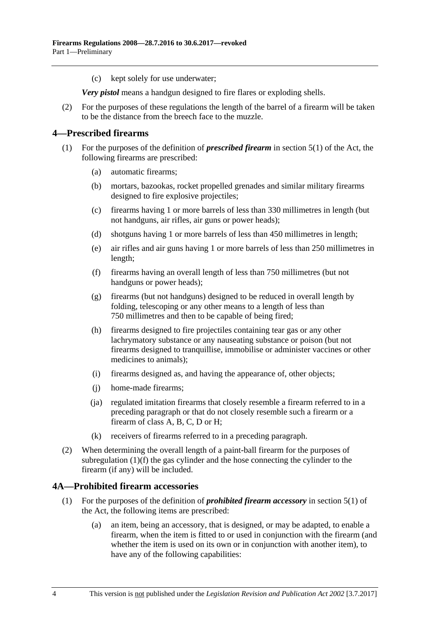(c) kept solely for use underwater;

*Very pistol* means a handgun designed to fire flares or exploding shells.

(2) For the purposes of these regulations the length of the barrel of a firearm will be taken to be the distance from the breech face to the muzzle.

### <span id="page-3-0"></span>**4—Prescribed firearms**

- <span id="page-3-2"></span>(1) For the purposes of the definition of *prescribed firearm* in section 5(1) of the Act, the following firearms are prescribed:
	- (a) automatic firearms;
	- (b) mortars, bazookas, rocket propelled grenades and similar military firearms designed to fire explosive projectiles;
	- (c) firearms having 1 or more barrels of less than 330 millimetres in length (but not handguns, air rifles, air guns or power heads);
	- (d) shotguns having 1 or more barrels of less than 450 millimetres in length;
	- (e) air rifles and air guns having 1 or more barrels of less than 250 millimetres in length;
	- (f) firearms having an overall length of less than 750 millimetres (but not handguns or power heads);
	- (g) firearms (but not handguns) designed to be reduced in overall length by folding, telescoping or any other means to a length of less than 750 millimetres and then to be capable of being fired;
	- (h) firearms designed to fire projectiles containing tear gas or any other lachrymatory substance or any nauseating substance or poison (but not firearms designed to tranquillise, immobilise or administer vaccines or other medicines to animals);
	- (i) firearms designed as, and having the appearance of, other objects;
	- (j) home-made firearms;
	- (ja) regulated imitation firearms that closely resemble a firearm referred to in a preceding paragraph or that do not closely resemble such a firearm or a firearm of class A, B, C, D or H;
	- (k) receivers of firearms referred to in a preceding paragraph.
- (2) When determining the overall length of a paint-ball firearm for the purposes of [subregulation](#page-3-2) (1)(f) the gas cylinder and the hose connecting the cylinder to the firearm (if any) will be included.

### <span id="page-3-1"></span>**4A—Prohibited firearm accessories**

- (1) For the purposes of the definition of *prohibited firearm accessory* in section 5(1) of the Act, the following items are prescribed:
	- (a) an item, being an accessory, that is designed, or may be adapted, to enable a firearm, when the item is fitted to or used in conjunction with the firearm (and whether the item is used on its own or in conjunction with another item), to have any of the following capabilities: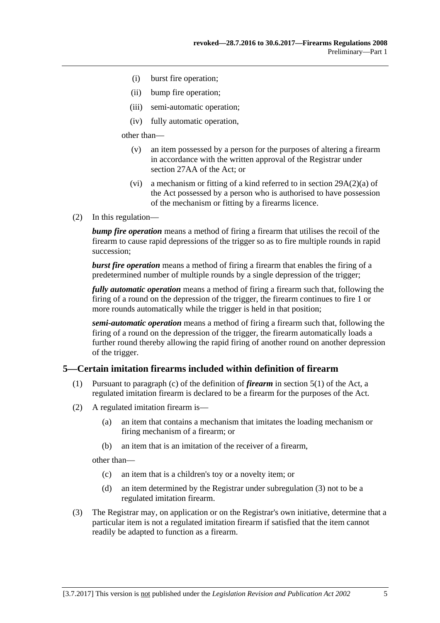- (i) burst fire operation;
- (ii) bump fire operation;
- (iii) semi-automatic operation;
- (iv) fully automatic operation,

other than—

- (v) an item possessed by a person for the purposes of altering a firearm in accordance with the written approval of the Registrar under section 27AA of the Act; or
- (vi) a mechanism or fitting of a kind referred to in section 29A(2)(a) of the Act possessed by a person who is authorised to have possession of the mechanism or fitting by a firearms licence.
- (2) In this regulation—

*bump fire operation* means a method of firing a firearm that utilises the recoil of the firearm to cause rapid depressions of the trigger so as to fire multiple rounds in rapid succession;

*burst fire operation* means a method of firing a firearm that enables the firing of a predetermined number of multiple rounds by a single depression of the trigger;

*fully automatic operation* means a method of firing a firearm such that, following the firing of a round on the depression of the trigger, the firearm continues to fire 1 or more rounds automatically while the trigger is held in that position;

*semi-automatic operation* means a method of firing a firearm such that, following the firing of a round on the depression of the trigger, the firearm automatically loads a further round thereby allowing the rapid firing of another round on another depression of the trigger.

### <span id="page-4-0"></span>**5—Certain imitation firearms included within definition of firearm**

- (1) Pursuant to paragraph (c) of the definition of *firearm* in section 5(1) of the Act, a regulated imitation firearm is declared to be a firearm for the purposes of the Act.
- <span id="page-4-2"></span>(2) A regulated imitation firearm is—
	- (a) an item that contains a mechanism that imitates the loading mechanism or firing mechanism of a firearm; or
	- (b) an item that is an imitation of the receiver of a firearm,

other than—

- (c) an item that is a children's toy or a novelty item; or
- (d) an item determined by the Registrar under [subregulation](#page-4-1) (3) not to be a regulated imitation firearm.
- <span id="page-4-1"></span>(3) The Registrar may, on application or on the Registrar's own initiative, determine that a particular item is not a regulated imitation firearm if satisfied that the item cannot readily be adapted to function as a firearm.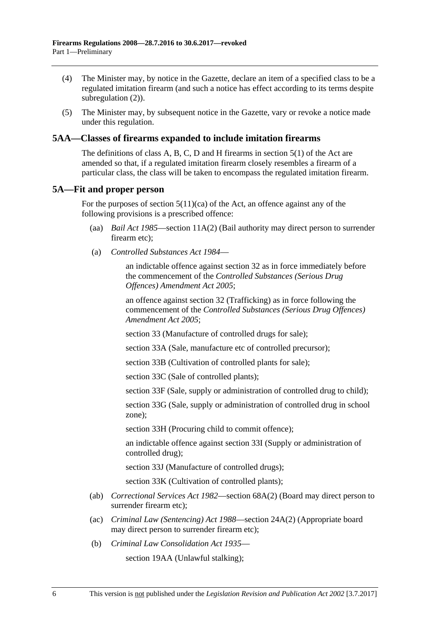- (4) The Minister may, by notice in the Gazette, declare an item of a specified class to be a regulated imitation firearm (and such a notice has effect according to its terms despite [subregulation](#page-4-2)  $(2)$ ).
- (5) The Minister may, by subsequent notice in the Gazette, vary or revoke a notice made under this regulation.

### <span id="page-5-0"></span>**5AA—Classes of firearms expanded to include imitation firearms**

The definitions of class A, B, C, D and H firearms in section 5(1) of the Act are amended so that, if a regulated imitation firearm closely resembles a firearm of a particular class, the class will be taken to encompass the regulated imitation firearm.

### <span id="page-5-1"></span>**5A—Fit and proper person**

For the purposes of section  $5(11)(ca)$  of the Act, an offence against any of the following provisions is a prescribed offence:

- (aa) *[Bail Act](http://www.legislation.sa.gov.au/index.aspx?action=legref&type=act&legtitle=Bail%20Act%201985) 1985*—section 11A(2) (Bail authority may direct person to surrender firearm etc);
- (a) *[Controlled Substances Act](http://www.legislation.sa.gov.au/index.aspx?action=legref&type=act&legtitle=Controlled%20Substances%20Act%201984) 1984*—

an indictable offence against section 32 as in force immediately before the commencement of the *[Controlled Substances \(Serious Drug](http://www.legislation.sa.gov.au/index.aspx?action=legref&type=act&legtitle=Controlled%20Substances%20(Serious%20Drug%20Offences)%20Amendment%20Act%202005)  [Offences\) Amendment Act](http://www.legislation.sa.gov.au/index.aspx?action=legref&type=act&legtitle=Controlled%20Substances%20(Serious%20Drug%20Offences)%20Amendment%20Act%202005) 2005*;

an offence against section 32 (Trafficking) as in force following the commencement of the *[Controlled Substances \(Serious Drug Offences\)](http://www.legislation.sa.gov.au/index.aspx?action=legref&type=act&legtitle=Controlled%20Substances%20(Serious%20Drug%20Offences)%20Amendment%20Act%202005)  [Amendment Act](http://www.legislation.sa.gov.au/index.aspx?action=legref&type=act&legtitle=Controlled%20Substances%20(Serious%20Drug%20Offences)%20Amendment%20Act%202005) 2005*;

section 33 (Manufacture of controlled drugs for sale);

section 33A (Sale, manufacture etc of controlled precursor);

section 33B (Cultivation of controlled plants for sale);

section 33C (Sale of controlled plants);

section 33F (Sale, supply or administration of controlled drug to child);

section 33G (Sale, supply or administration of controlled drug in school zone);

section 33H (Procuring child to commit offence);

an indictable offence against section 33I (Supply or administration of controlled drug);

section 33J (Manufacture of controlled drugs);

section 33K (Cultivation of controlled plants);

- (ab) *[Correctional Services Act](http://www.legislation.sa.gov.au/index.aspx?action=legref&type=act&legtitle=Correctional%20Services%20Act%201982) 1982*—section 68A(2) (Board may direct person to surrender firearm etc);
- (ac) *[Criminal Law \(Sentencing\) Act](http://www.legislation.sa.gov.au/index.aspx?action=legref&type=act&legtitle=Criminal%20Law%20(Sentencing)%20Act%201988) 1988*—section 24A(2) (Appropriate board may direct person to surrender firearm etc);
- (b) *[Criminal Law Consolidation Act](http://www.legislation.sa.gov.au/index.aspx?action=legref&type=act&legtitle=Criminal%20Law%20Consolidation%20Act%201935) 1935*—

section 19AA (Unlawful stalking);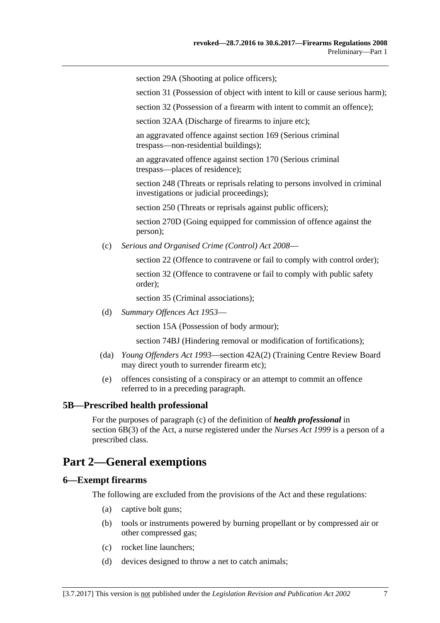section 29A (Shooting at police officers);

section 31 (Possession of object with intent to kill or cause serious harm);

section 32 (Possession of a firearm with intent to commit an offence);

section 32AA (Discharge of firearms to injure etc);

an aggravated offence against section 169 (Serious criminal trespass—non-residential buildings);

an aggravated offence against section 170 (Serious criminal trespass—places of residence);

section 248 (Threats or reprisals relating to persons involved in criminal investigations or judicial proceedings);

section 250 (Threats or reprisals against public officers);

section 270D (Going equipped for commission of offence against the person);

(c) *[Serious and Organised Crime \(Control\) Act](http://www.legislation.sa.gov.au/index.aspx?action=legref&type=act&legtitle=Serious%20and%20Organised%20Crime%20(Control)%20Act%202008) 2008*—

section 22 (Offence to contravene or fail to comply with control order); section 32 (Offence to contravene or fail to comply with public safety order);

section 35 (Criminal associations);

(d) *[Summary Offences Act](http://www.legislation.sa.gov.au/index.aspx?action=legref&type=act&legtitle=Summary%20Offences%20Act%201953) 1953*—

section 15A (Possession of body armour);

section 74BJ (Hindering removal or modification of fortifications);

- (da) *[Young Offenders Act](http://www.legislation.sa.gov.au/index.aspx?action=legref&type=act&legtitle=Young%20Offenders%20Act%201993) 1993*—section 42A(2) (Training Centre Review Board may direct youth to surrender firearm etc);
- (e) offences consisting of a conspiracy or an attempt to commit an offence referred to in a preceding paragraph.

### <span id="page-6-0"></span>**5B—Prescribed health professional**

For the purposes of paragraph (c) of the definition of *health professional* in section 6B(3) of the Act, a nurse registered under the *[Nurses Act](http://www.legislation.sa.gov.au/index.aspx?action=legref&type=act&legtitle=Nurses%20Act%201999) 1999* is a person of a prescribed class.

## <span id="page-6-1"></span>**Part 2—General exemptions**

#### <span id="page-6-2"></span>**6—Exempt firearms**

The following are excluded from the provisions of the Act and these regulations:

- (a) captive bolt guns;
- (b) tools or instruments powered by burning propellant or by compressed air or other compressed gas;
- (c) rocket line launchers;
- (d) devices designed to throw a net to catch animals;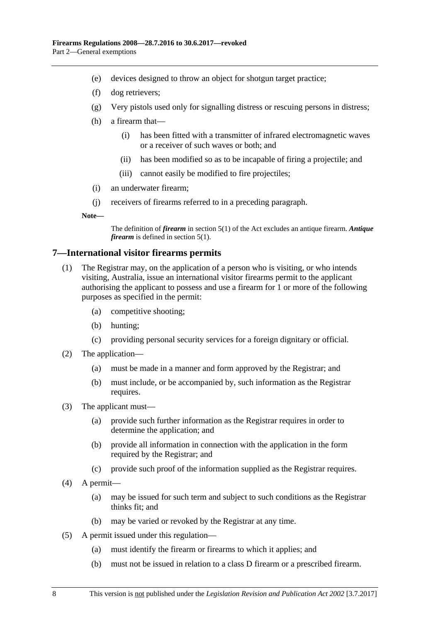- (e) devices designed to throw an object for shotgun target practice;
- (f) dog retrievers;
- (g) Very pistols used only for signalling distress or rescuing persons in distress;
- (h) a firearm that—
	- (i) has been fitted with a transmitter of infrared electromagnetic waves or a receiver of such waves or both; and
	- (ii) has been modified so as to be incapable of firing a projectile; and
	- (iii) cannot easily be modified to fire projectiles;
- (i) an underwater firearm;
- (j) receivers of firearms referred to in a preceding paragraph.

**Note—**

The definition of *firearm* in section 5(1) of the Act excludes an antique firearm. *Antique firearm* is defined in section 5(1).

### <span id="page-7-0"></span>**7—International visitor firearms permits**

- (1) The Registrar may, on the application of a person who is visiting, or who intends visiting, Australia, issue an international visitor firearms permit to the applicant authorising the applicant to possess and use a firearm for 1 or more of the following purposes as specified in the permit:
	- (a) competitive shooting;
	- (b) hunting;
	- (c) providing personal security services for a foreign dignitary or official.
- (2) The application—
	- (a) must be made in a manner and form approved by the Registrar; and
	- (b) must include, or be accompanied by, such information as the Registrar requires.
- (3) The applicant must—
	- (a) provide such further information as the Registrar requires in order to determine the application; and
	- (b) provide all information in connection with the application in the form required by the Registrar; and
	- (c) provide such proof of the information supplied as the Registrar requires.
- (4) A permit—
	- (a) may be issued for such term and subject to such conditions as the Registrar thinks fit; and
	- (b) may be varied or revoked by the Registrar at any time.
- (5) A permit issued under this regulation—
	- (a) must identify the firearm or firearms to which it applies; and
	- (b) must not be issued in relation to a class D firearm or a prescribed firearm.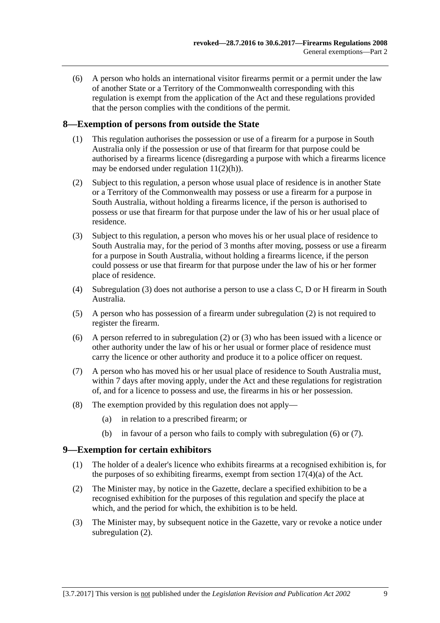(6) A person who holds an international visitor firearms permit or a permit under the law of another State or a Territory of the Commonwealth corresponding with this regulation is exempt from the application of the Act and these regulations provided that the person complies with the conditions of the permit.

### <span id="page-8-0"></span>**8—Exemption of persons from outside the State**

- (1) This regulation authorises the possession or use of a firearm for a purpose in South Australia only if the possession or use of that firearm for that purpose could be authorised by a firearms licence (disregarding a purpose with which a firearms licence may be endorsed under [regulation](#page-10-2)  $11(2)(h)$ ).
- <span id="page-8-3"></span>(2) Subject to this regulation, a person whose usual place of residence is in another State or a Territory of the Commonwealth may possess or use a firearm for a purpose in South Australia, without holding a firearms licence, if the person is authorised to possess or use that firearm for that purpose under the law of his or her usual place of residence.
- <span id="page-8-2"></span>(3) Subject to this regulation, a person who moves his or her usual place of residence to South Australia may, for the period of 3 months after moving, possess or use a firearm for a purpose in South Australia, without holding a firearms licence, if the person could possess or use that firearm for that purpose under the law of his or her former place of residence.
- (4) [Subregulation \(3\)](#page-8-2) does not authorise a person to use a class C, D or H firearm in South Australia.
- (5) A person who has possession of a firearm under [subregulation](#page-8-3) (2) is not required to register the firearm.
- <span id="page-8-4"></span>(6) A person referred to in [subregulation](#page-8-3) (2) or [\(3\)](#page-8-2) who has been issued with a licence or other authority under the law of his or her usual or former place of residence must carry the licence or other authority and produce it to a police officer on request.
- <span id="page-8-5"></span>(7) A person who has moved his or her usual place of residence to South Australia must, within 7 days after moving apply, under the Act and these regulations for registration of, and for a licence to possess and use, the firearms in his or her possession.
- (8) The exemption provided by this regulation does not apply—
	- (a) in relation to a prescribed firearm; or
	- (b) in favour of a person who fails to comply with [subregulation](#page-8-4) (6) or [\(7\).](#page-8-5)

### <span id="page-8-1"></span>**9—Exemption for certain exhibitors**

- (1) The holder of a dealer's licence who exhibits firearms at a recognised exhibition is, for the purposes of so exhibiting firearms, exempt from section  $17(4)(a)$  of the Act.
- <span id="page-8-6"></span>(2) The Minister may, by notice in the Gazette, declare a specified exhibition to be a recognised exhibition for the purposes of this regulation and specify the place at which, and the period for which, the exhibition is to be held.
- (3) The Minister may, by subsequent notice in the Gazette, vary or revoke a notice under [subregulation](#page-8-6) (2).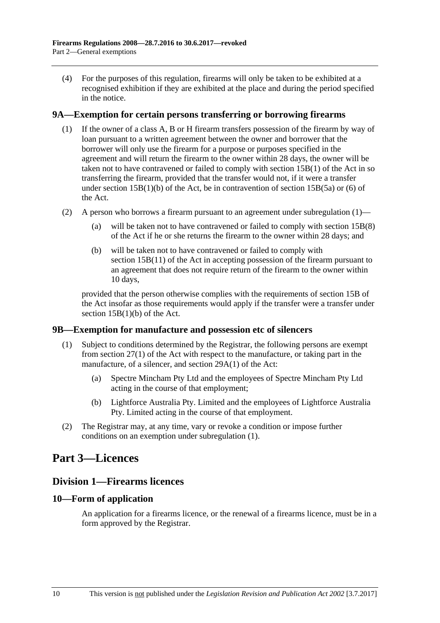(4) For the purposes of this regulation, firearms will only be taken to be exhibited at a recognised exhibition if they are exhibited at the place and during the period specified in the notice.

### <span id="page-9-5"></span><span id="page-9-0"></span>**9A—Exemption for certain persons transferring or borrowing firearms**

- (1) If the owner of a class A, B or H firearm transfers possession of the firearm by way of loan pursuant to a written agreement between the owner and borrower that the borrower will only use the firearm for a purpose or purposes specified in the agreement and will return the firearm to the owner within 28 days, the owner will be taken not to have contravened or failed to comply with section 15B(1) of the Act in so transferring the firearm, provided that the transfer would not, if it were a transfer under section  $15B(1)(b)$  of the Act, be in contravention of section  $15B(5a)$  or (6) of the Act.
- (2) A person who borrows a firearm pursuant to an agreement under [subregulation](#page-9-5) (1)
	- will be taken not to have contravened or failed to comply with section  $15B(8)$ of the Act if he or she returns the firearm to the owner within 28 days; and
	- (b) will be taken not to have contravened or failed to comply with section 15B(11) of the Act in accepting possession of the firearm pursuant to an agreement that does not require return of the firearm to the owner within 10 days,

provided that the person otherwise complies with the requirements of section 15B of the Act insofar as those requirements would apply if the transfer were a transfer under section 15B(1)(b) of the Act.

### <span id="page-9-6"></span><span id="page-9-1"></span>**9B—Exemption for manufacture and possession etc of silencers**

- (1) Subject to conditions determined by the Registrar, the following persons are exempt from section 27(1) of the Act with respect to the manufacture, or taking part in the manufacture, of a silencer, and section 29A(1) of the Act:
	- (a) Spectre Mincham Pty Ltd and the employees of Spectre Mincham Pty Ltd acting in the course of that employment;
	- (b) Lightforce Australia Pty. Limited and the employees of Lightforce Australia Pty. Limited acting in the course of that employment.
- (2) The Registrar may, at any time, vary or revoke a condition or impose further conditions on an exemption under [subregulation](#page-9-6) (1).

## <span id="page-9-3"></span><span id="page-9-2"></span>**Part 3—Licences**

### **Division 1—Firearms licences**

### <span id="page-9-4"></span>**10—Form of application**

An application for a firearms licence, or the renewal of a firearms licence, must be in a form approved by the Registrar.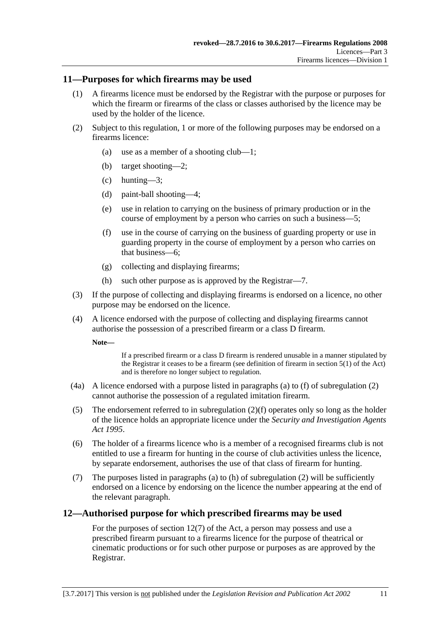### <span id="page-10-0"></span>**11—Purposes for which firearms may be used**

- (1) A firearms licence must be endorsed by the Registrar with the purpose or purposes for which the firearm or firearms of the class or classes authorised by the licence may be used by the holder of the licence.
- <span id="page-10-5"></span><span id="page-10-3"></span>(2) Subject to this regulation, 1 or more of the following purposes may be endorsed on a firearms licence:
	- (a) use as a member of a shooting club—1;
	- (b) target shooting—2;
	- (c) hunting—3;
	- (d) paint-ball shooting—4;
	- (e) use in relation to carrying on the business of primary production or in the course of employment by a person who carries on such a business—5;
	- (f) use in the course of carrying on the business of guarding property or use in guarding property in the course of employment by a person who carries on that business—6;
	- (g) collecting and displaying firearms;
	- (h) such other purpose as is approved by the Registrar—7.
- <span id="page-10-4"></span><span id="page-10-2"></span>(3) If the purpose of collecting and displaying firearms is endorsed on a licence, no other purpose may be endorsed on the licence.
- (4) A licence endorsed with the purpose of collecting and displaying firearms cannot authorise the possession of a prescribed firearm or a class D firearm.

**Note—**

If a prescribed firearm or a class D firearm is rendered unusable in a manner stipulated by the Registrar it ceases to be a firearm (see definition of firearm in section 5(1) of the Act) and is therefore no longer subject to regulation.

- (4a) A licence endorsed with a purpose listed in paragraphs [\(a\)](#page-10-3) to [\(f\)](#page-10-4) of [subregulation](#page-10-5) (2) cannot authorise the possession of a regulated imitation firearm.
- (5) The endorsement referred to in [subregulation](#page-10-4) (2)(f) operates only so long as the holder of the licence holds an appropriate licence under the *[Security and Investigation Agents](http://www.legislation.sa.gov.au/index.aspx?action=legref&type=act&legtitle=Security%20and%20Investigation%20Agents%20Act%201995)  Act [1995](http://www.legislation.sa.gov.au/index.aspx?action=legref&type=act&legtitle=Security%20and%20Investigation%20Agents%20Act%201995)*.
- (6) The holder of a firearms licence who is a member of a recognised firearms club is not entitled to use a firearm for hunting in the course of club activities unless the licence, by separate endorsement, authorises the use of that class of firearm for hunting.
- (7) The purposes listed in [paragraphs](#page-10-3) (a) to [\(h\)](#page-10-2) of [subregulation](#page-10-5) (2) will be sufficiently endorsed on a licence by endorsing on the licence the number appearing at the end of the relevant paragraph.

### <span id="page-10-1"></span>**12—Authorised purpose for which prescribed firearms may be used**

For the purposes of section 12(7) of the Act, a person may possess and use a prescribed firearm pursuant to a firearms licence for the purpose of theatrical or cinematic productions or for such other purpose or purposes as are approved by the Registrar.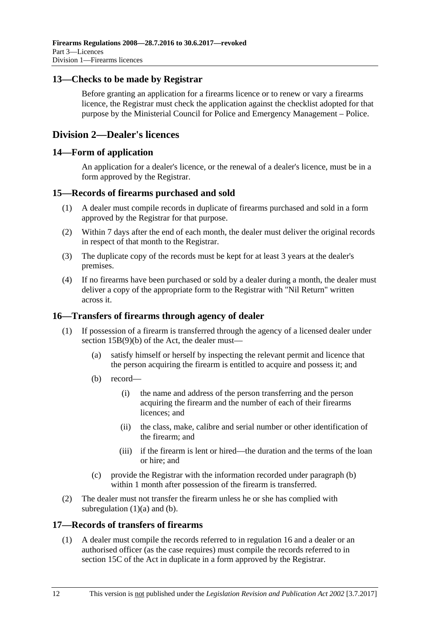### <span id="page-11-0"></span>**13—Checks to be made by Registrar**

Before granting an application for a firearms licence or to renew or vary a firearms licence, the Registrar must check the application against the checklist adopted for that purpose by the Ministerial Council for Police and Emergency Management – Police.

### <span id="page-11-1"></span>**Division 2—Dealer's licences**

### <span id="page-11-2"></span>**14—Form of application**

An application for a dealer's licence, or the renewal of a dealer's licence, must be in a form approved by the Registrar.

### <span id="page-11-3"></span>**15—Records of firearms purchased and sold**

- (1) A dealer must compile records in duplicate of firearms purchased and sold in a form approved by the Registrar for that purpose.
- (2) Within 7 days after the end of each month, the dealer must deliver the original records in respect of that month to the Registrar.
- (3) The duplicate copy of the records must be kept for at least 3 years at the dealer's premises.
- (4) If no firearms have been purchased or sold by a dealer during a month, the dealer must deliver a copy of the appropriate form to the Registrar with "Nil Return" written across it.

### <span id="page-11-4"></span>**16—Transfers of firearms through agency of dealer**

- <span id="page-11-7"></span><span id="page-11-6"></span>(1) If possession of a firearm is transferred through the agency of a licensed dealer under section 15B(9)(b) of the Act, the dealer must—
	- (a) satisfy himself or herself by inspecting the relevant permit and licence that the person acquiring the firearm is entitled to acquire and possess it; and
	- (b) record—
		- (i) the name and address of the person transferring and the person acquiring the firearm and the number of each of their firearms licences; and
		- (ii) the class, make, calibre and serial number or other identification of the firearm; and
		- (iii) if the firearm is lent or hired—the duration and the terms of the loan or hire; and
	- (c) provide the Registrar with the information recorded under [paragraph](#page-11-6) (b) within 1 month after possession of the firearm is transferred.
- (2) The dealer must not transfer the firearm unless he or she has complied with [subregulation](#page-11-7)  $(1)(a)$  and  $(b)$ .

### <span id="page-11-8"></span><span id="page-11-5"></span>**17—Records of transfers of firearms**

(1) A dealer must compile the records referred to in [regulation](#page-11-4) 16 and a dealer or an authorised officer (as the case requires) must compile the records referred to in section 15C of the Act in duplicate in a form approved by the Registrar.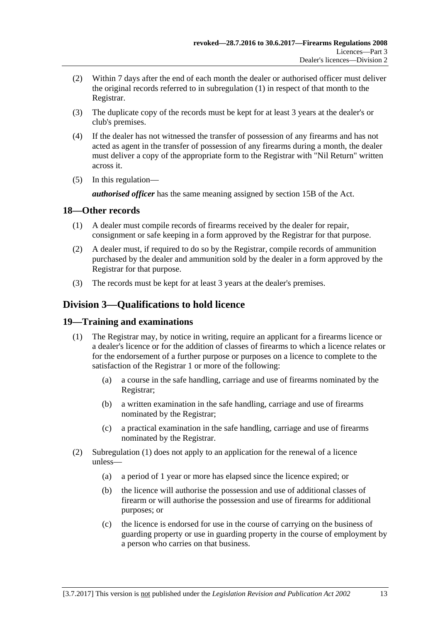- (2) Within 7 days after the end of each month the dealer or authorised officer must deliver the original records referred to in [subregulation](#page-11-8) (1) in respect of that month to the Registrar.
- (3) The duplicate copy of the records must be kept for at least 3 years at the dealer's or club's premises.
- (4) If the dealer has not witnessed the transfer of possession of any firearms and has not acted as agent in the transfer of possession of any firearms during a month, the dealer must deliver a copy of the appropriate form to the Registrar with "Nil Return" written across it.
- (5) In this regulation—

*authorised officer* has the same meaning assigned by section 15B of the Act.

### <span id="page-12-0"></span>**18—Other records**

- (1) A dealer must compile records of firearms received by the dealer for repair, consignment or safe keeping in a form approved by the Registrar for that purpose.
- (2) A dealer must, if required to do so by the Registrar, compile records of ammunition purchased by the dealer and ammunition sold by the dealer in a form approved by the Registrar for that purpose.
- (3) The records must be kept for at least 3 years at the dealer's premises.

### <span id="page-12-1"></span>**Division 3—Qualifications to hold licence**

### <span id="page-12-3"></span><span id="page-12-2"></span>**19—Training and examinations**

- (1) The Registrar may, by notice in writing, require an applicant for a firearms licence or a dealer's licence or for the addition of classes of firearms to which a licence relates or for the endorsement of a further purpose or purposes on a licence to complete to the satisfaction of the Registrar 1 or more of the following:
	- (a) a course in the safe handling, carriage and use of firearms nominated by the Registrar;
	- (b) a written examination in the safe handling, carriage and use of firearms nominated by the Registrar;
	- (c) a practical examination in the safe handling, carriage and use of firearms nominated by the Registrar.
- (2) [Subregulation](#page-12-3) (1) does not apply to an application for the renewal of a licence unless—
	- (a) a period of 1 year or more has elapsed since the licence expired; or
	- (b) the licence will authorise the possession and use of additional classes of firearm or will authorise the possession and use of firearms for additional purposes; or
	- (c) the licence is endorsed for use in the course of carrying on the business of guarding property or use in guarding property in the course of employment by a person who carries on that business.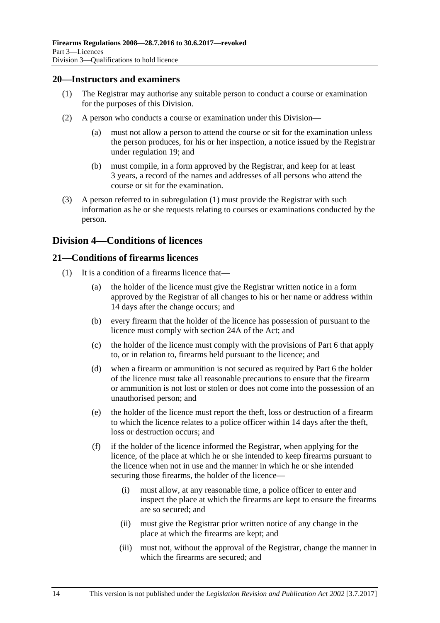### <span id="page-13-3"></span><span id="page-13-0"></span>**20—Instructors and examiners**

- (1) The Registrar may authorise any suitable person to conduct a course or examination for the purposes of this Division.
- (2) A person who conducts a course or examination under this Division—
	- (a) must not allow a person to attend the course or sit for the examination unless the person produces, for his or her inspection, a notice issued by the Registrar under [regulation](#page-12-2) 19; and
	- (b) must compile, in a form approved by the Registrar, and keep for at least 3 years, a record of the names and addresses of all persons who attend the course or sit for the examination.
- (3) A person referred to in [subregulation](#page-13-3) (1) must provide the Registrar with such information as he or she requests relating to courses or examinations conducted by the person.

### <span id="page-13-1"></span>**Division 4—Conditions of licences**

### <span id="page-13-4"></span><span id="page-13-2"></span>**21—Conditions of firearms licences**

- (1) It is a condition of a firearms licence that—
	- (a) the holder of the licence must give the Registrar written notice in a form approved by the Registrar of all changes to his or her name or address within 14 days after the change occurs; and
	- (b) every firearm that the holder of the licence has possession of pursuant to the licence must comply with section 24A of the Act; and
	- (c) the holder of the licence must comply with the provisions of [Part 6](#page-22-5) that apply to, or in relation to, firearms held pursuant to the licence; and
	- (d) when a firearm or ammunition is not secured as required by [Part 6](#page-22-5) the holder of the licence must take all reasonable precautions to ensure that the firearm or ammunition is not lost or stolen or does not come into the possession of an unauthorised person; and
	- (e) the holder of the licence must report the theft, loss or destruction of a firearm to which the licence relates to a police officer within 14 days after the theft, loss or destruction occurs; and
	- (f) if the holder of the licence informed the Registrar, when applying for the licence, of the place at which he or she intended to keep firearms pursuant to the licence when not in use and the manner in which he or she intended securing those firearms, the holder of the licence—
		- (i) must allow, at any reasonable time, a police officer to enter and inspect the place at which the firearms are kept to ensure the firearms are so secured; and
		- (ii) must give the Registrar prior written notice of any change in the place at which the firearms are kept; and
		- (iii) must not, without the approval of the Registrar, change the manner in which the firearms are secured; and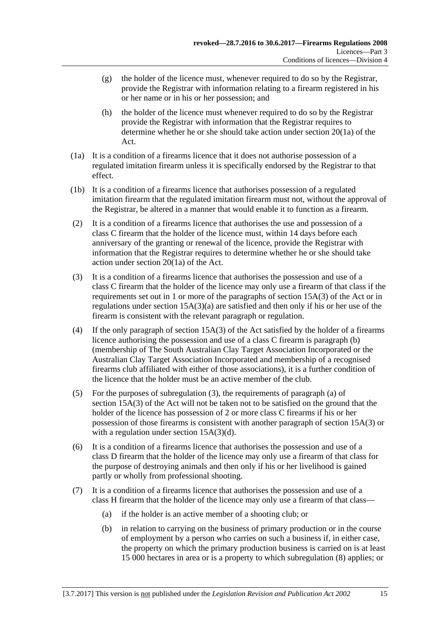- $(g)$  the holder of the licence must, whenever required to do so by the Registrar, provide the Registrar with information relating to a firearm registered in his or her name or in his or her possession; and
- (h) the holder of the licence must whenever required to do so by the Registrar provide the Registrar with information that the Registrar requires to determine whether he or she should take action under section 20(1a) of the Act.
- (1a) It is a condition of a firearms licence that it does not authorise possession of a regulated imitation firearm unless it is specifically endorsed by the Registrar to that effect.
- (1b) It is a condition of a firearms licence that authorises possession of a regulated imitation firearm that the regulated imitation firearm must not, without the approval of the Registrar, be altered in a manner that would enable it to function as a firearm.
- (2) It is a condition of a firearms licence that authorises the use and possession of a class C firearm that the holder of the licence must, within 14 days before each anniversary of the granting or renewal of the licence, provide the Registrar with information that the Registrar requires to determine whether he or she should take action under section 20(1a) of the Act.
- <span id="page-14-0"></span>(3) It is a condition of a firearms licence that authorises the possession and use of a class C firearm that the holder of the licence may only use a firearm of that class if the requirements set out in 1 or more of the paragraphs of section 15A(3) of the Act or in regulations under section 15A(3)(a) are satisfied and then only if his or her use of the firearm is consistent with the relevant paragraph or regulation.
- (4) If the only paragraph of section 15A(3) of the Act satisfied by the holder of a firearms licence authorising the possession and use of a class C firearm is paragraph (b) (membership of The South Australian Clay Target Association Incorporated or the Australian Clay Target Association Incorporated and membership of a recognised firearms club affiliated with either of those associations), it is a further condition of the licence that the holder must be an active member of the club.
- (5) For the purposes of [subregulation](#page-14-0) (3), the requirements of paragraph (a) of section 15A(3) of the Act will not be taken not to be satisfied on the ground that the holder of the licence has possession of 2 or more class C firearms if his or her possession of those firearms is consistent with another paragraph of section 15A(3) or with a regulation under section  $15A(3)(d)$ .
- <span id="page-14-2"></span>(6) It is a condition of a firearms licence that authorises the possession and use of a class D firearm that the holder of the licence may only use a firearm of that class for the purpose of destroying animals and then only if his or her livelihood is gained partly or wholly from professional shooting.
- <span id="page-14-1"></span>(7) It is a condition of a firearms licence that authorises the possession and use of a class H firearm that the holder of the licence may only use a firearm of that class—
	- (a) if the holder is an active member of a shooting club; or
	- (b) in relation to carrying on the business of primary production or in the course of employment by a person who carries on such a business if, in either case, the property on which the primary production business is carried on is at least 15 000 hectares in area or is a property to which [subregulation](#page-15-0) (8) applies; or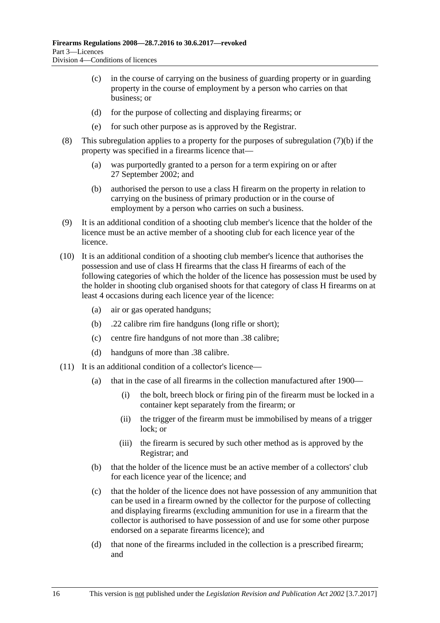- (c) in the course of carrying on the business of guarding property or in guarding property in the course of employment by a person who carries on that business; or
- (d) for the purpose of collecting and displaying firearms; or
- (e) for such other purpose as is approved by the Registrar.
- <span id="page-15-0"></span>(8) This subregulation applies to a property for the purposes of [subregulation](#page-14-1) (7)(b) if the property was specified in a firearms licence that—
	- (a) was purportedly granted to a person for a term expiring on or after 27 September 2002; and
	- (b) authorised the person to use a class H firearm on the property in relation to carrying on the business of primary production or in the course of employment by a person who carries on such a business.
- (9) It is an additional condition of a shooting club member's licence that the holder of the licence must be an active member of a shooting club for each licence year of the licence.
- (10) It is an additional condition of a shooting club member's licence that authorises the possession and use of class H firearms that the class H firearms of each of the following categories of which the holder of the licence has possession must be used by the holder in shooting club organised shoots for that category of class H firearms on at least 4 occasions during each licence year of the licence:
	- (a) air or gas operated handguns;
	- (b) .22 calibre rim fire handguns (long rifle or short);
	- (c) centre fire handguns of not more than .38 calibre;
	- (d) handguns of more than .38 calibre.
- (11) It is an additional condition of a collector's licence—
	- (a) that in the case of all firearms in the collection manufactured after 1900—
		- (i) the bolt, breech block or firing pin of the firearm must be locked in a container kept separately from the firearm; or
		- (ii) the trigger of the firearm must be immobilised by means of a trigger lock; or
		- (iii) the firearm is secured by such other method as is approved by the Registrar; and
	- (b) that the holder of the licence must be an active member of a collectors' club for each licence year of the licence; and
	- (c) that the holder of the licence does not have possession of any ammunition that can be used in a firearm owned by the collector for the purpose of collecting and displaying firearms (excluding ammunition for use in a firearm that the collector is authorised to have possession of and use for some other purpose endorsed on a separate firearms licence); and
	- (d) that none of the firearms included in the collection is a prescribed firearm; and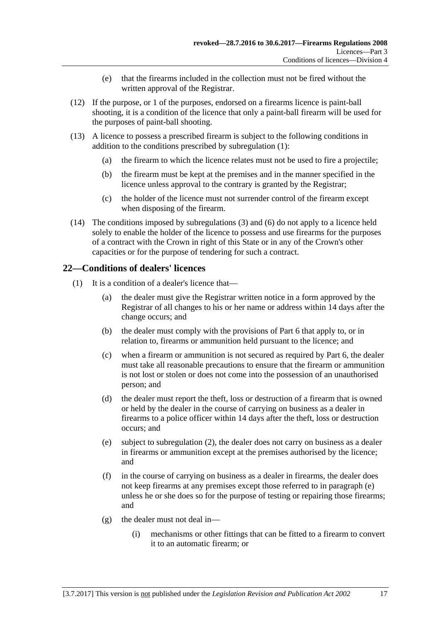- (e) that the firearms included in the collection must not be fired without the written approval of the Registrar.
- (12) If the purpose, or 1 of the purposes, endorsed on a firearms licence is paint-ball shooting, it is a condition of the licence that only a paint-ball firearm will be used for the purposes of paint-ball shooting.
- (13) A licence to possess a prescribed firearm is subject to the following conditions in addition to the conditions prescribed by [subregulation](#page-13-4) (1):
	- (a) the firearm to which the licence relates must not be used to fire a projectile;
	- (b) the firearm must be kept at the premises and in the manner specified in the licence unless approval to the contrary is granted by the Registrar;
	- (c) the holder of the licence must not surrender control of the firearm except when disposing of the firearm.
- (14) The conditions imposed by [subregulations](#page-14-0) (3) and [\(6\)](#page-14-2) do not apply to a licence held solely to enable the holder of the licence to possess and use firearms for the purposes of a contract with the Crown in right of this State or in any of the Crown's other capacities or for the purpose of tendering for such a contract.

### <span id="page-16-0"></span>**22—Conditions of dealers' licences**

- <span id="page-16-1"></span>(1) It is a condition of a dealer's licence that—
	- (a) the dealer must give the Registrar written notice in a form approved by the Registrar of all changes to his or her name or address within 14 days after the change occurs; and
	- (b) the dealer must comply with the provisions of [Part 6](#page-22-5) that apply to, or in relation to, firearms or ammunition held pursuant to the licence; and
	- (c) when a firearm or ammunition is not secured as required by [Part 6,](#page-22-5) the dealer must take all reasonable precautions to ensure that the firearm or ammunition is not lost or stolen or does not come into the possession of an unauthorised person; and
	- (d) the dealer must report the theft, loss or destruction of a firearm that is owned or held by the dealer in the course of carrying on business as a dealer in firearms to a police officer within 14 days after the theft, loss or destruction occurs; and
	- (e) subject to [subregulation](#page-17-2) (2), the dealer does not carry on business as a dealer in firearms or ammunition except at the premises authorised by the licence; and
	- (f) in the course of carrying on business as a dealer in firearms, the dealer does not keep firearms at any premises except those referred to in [paragraph](#page-16-1) (e) unless he or she does so for the purpose of testing or repairing those firearms; and
	- (g) the dealer must not deal in—
		- (i) mechanisms or other fittings that can be fitted to a firearm to convert it to an automatic firearm; or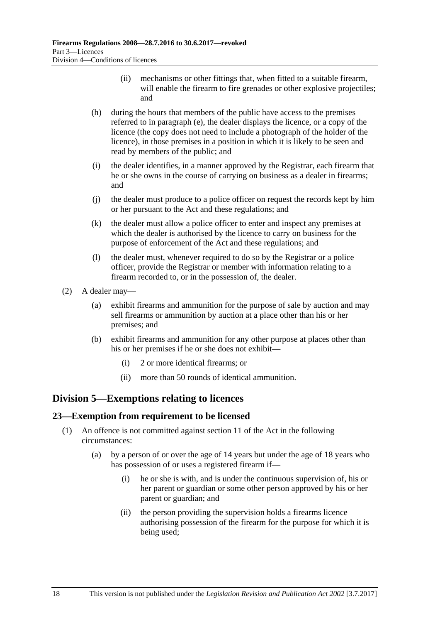- (ii) mechanisms or other fittings that, when fitted to a suitable firearm, will enable the firearm to fire grenades or other explosive projectiles; and
- (h) during the hours that members of the public have access to the premises referred to in [paragraph](#page-16-1) (e), the dealer displays the licence, or a copy of the licence (the copy does not need to include a photograph of the holder of the licence), in those premises in a position in which it is likely to be seen and read by members of the public; and
- (i) the dealer identifies, in a manner approved by the Registrar, each firearm that he or she owns in the course of carrying on business as a dealer in firearms; and
- (j) the dealer must produce to a police officer on request the records kept by him or her pursuant to the Act and these regulations; and
- (k) the dealer must allow a police officer to enter and inspect any premises at which the dealer is authorised by the licence to carry on business for the purpose of enforcement of the Act and these regulations; and
- (l) the dealer must, whenever required to do so by the Registrar or a police officer, provide the Registrar or member with information relating to a firearm recorded to, or in the possession of, the dealer.
- <span id="page-17-2"></span>(2) A dealer may—
	- (a) exhibit firearms and ammunition for the purpose of sale by auction and may sell firearms or ammunition by auction at a place other than his or her premises; and
	- (b) exhibit firearms and ammunition for any other purpose at places other than his or her premises if he or she does not exhibit—
		- (i) 2 or more identical firearms; or
		- (ii) more than 50 rounds of identical ammunition.

### <span id="page-17-0"></span>**Division 5—Exemptions relating to licences**

### <span id="page-17-1"></span>**23—Exemption from requirement to be licensed**

- <span id="page-17-3"></span>(1) An offence is not committed against section 11 of the Act in the following circumstances:
	- (a) by a person of or over the age of 14 years but under the age of 18 years who has possession of or uses a registered firearm if—
		- (i) he or she is with, and is under the continuous supervision of, his or her parent or guardian or some other person approved by his or her parent or guardian; and
		- (ii) the person providing the supervision holds a firearms licence authorising possession of the firearm for the purpose for which it is being used;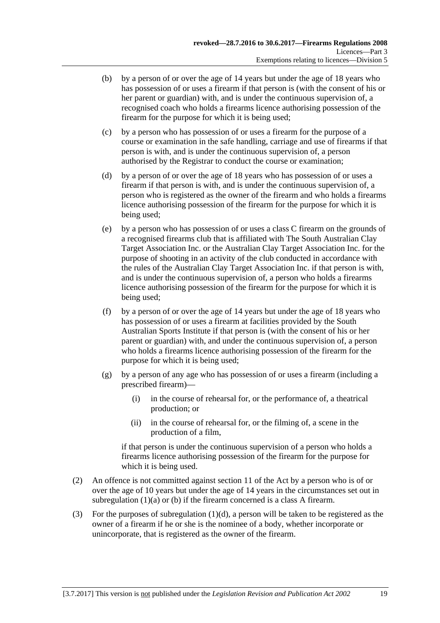- <span id="page-18-0"></span>(b) by a person of or over the age of 14 years but under the age of 18 years who has possession of or uses a firearm if that person is (with the consent of his or her parent or guardian) with, and is under the continuous supervision of, a recognised coach who holds a firearms licence authorising possession of the firearm for the purpose for which it is being used;
- (c) by a person who has possession of or uses a firearm for the purpose of a course or examination in the safe handling, carriage and use of firearms if that person is with, and is under the continuous supervision of, a person authorised by the Registrar to conduct the course or examination;
- <span id="page-18-1"></span>(d) by a person of or over the age of 18 years who has possession of or uses a firearm if that person is with, and is under the continuous supervision of, a person who is registered as the owner of the firearm and who holds a firearms licence authorising possession of the firearm for the purpose for which it is being used;
- (e) by a person who has possession of or uses a class C firearm on the grounds of a recognised firearms club that is affiliated with The South Australian Clay Target Association Inc. or the Australian Clay Target Association Inc. for the purpose of shooting in an activity of the club conducted in accordance with the rules of the Australian Clay Target Association Inc. if that person is with, and is under the continuous supervision of, a person who holds a firearms licence authorising possession of the firearm for the purpose for which it is being used;
- (f) by a person of or over the age of 14 years but under the age of 18 years who has possession of or uses a firearm at facilities provided by the South Australian Sports Institute if that person is (with the consent of his or her parent or guardian) with, and under the continuous supervision of, a person who holds a firearms licence authorising possession of the firearm for the purpose for which it is being used;
- (g) by a person of any age who has possession of or uses a firearm (including a prescribed firearm)—
	- (i) in the course of rehearsal for, or the performance of, a theatrical production; or
	- (ii) in the course of rehearsal for, or the filming of, a scene in the production of a film,

if that person is under the continuous supervision of a person who holds a firearms licence authorising possession of the firearm for the purpose for which it is being used.

- (2) An offence is not committed against section 11 of the Act by a person who is of or over the age of 10 years but under the age of 14 years in the circumstances set out in [subregulation](#page-17-3) (1)(a) or [\(b\)](#page-18-0) if the firearm concerned is a class A firearm.
- (3) For the purposes of [subregulation](#page-18-1)  $(1)(d)$ , a person will be taken to be registered as the owner of a firearm if he or she is the nominee of a body, whether incorporate or unincorporate, that is registered as the owner of the firearm.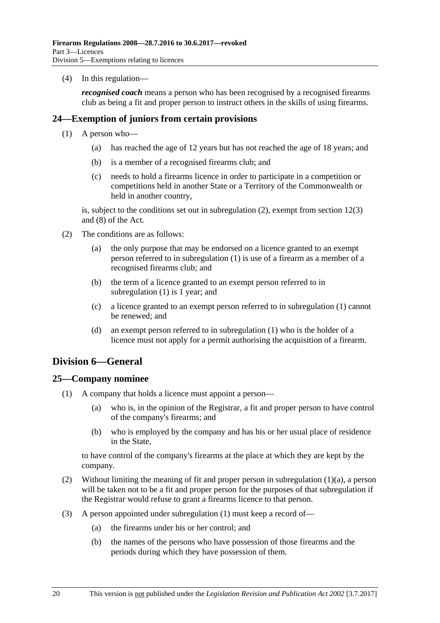(4) In this regulation—

*recognised coach* means a person who has been recognised by a recognised firearms club as being a fit and proper person to instruct others in the skills of using firearms.

### <span id="page-19-4"></span><span id="page-19-0"></span>**24—Exemption of juniors from certain provisions**

- (1) A person who—
	- (a) has reached the age of 12 years but has not reached the age of 18 years; and
	- (b) is a member of a recognised firearms club; and
	- (c) needs to hold a firearms licence in order to participate in a competition or competitions held in another State or a Territory of the Commonwealth or held in another country,

is, subject to the conditions set out in [subregulation](#page-19-3) (2), exempt from section 12(3) and (8) of the Act.

- <span id="page-19-3"></span>(2) The conditions are as follows:
	- (a) the only purpose that may be endorsed on a licence granted to an exempt person referred to in [subregulation](#page-19-4) (1) is use of a firearm as a member of a recognised firearms club; and
	- (b) the term of a licence granted to an exempt person referred to in [subregulation](#page-19-4) (1) is 1 year; and
	- (c) a licence granted to an exempt person referred to in [subregulation](#page-19-4) (1) cannot be renewed; and
	- (d) an exempt person referred to in [subregulation](#page-19-4) (1) who is the holder of a licence must not apply for a permit authorising the acquisition of a firearm.

### <span id="page-19-1"></span>**Division 6—General**

### <span id="page-19-6"></span><span id="page-19-2"></span>**25—Company nominee**

- <span id="page-19-5"></span>(1) A company that holds a licence must appoint a person—
	- (a) who is, in the opinion of the Registrar, a fit and proper person to have control of the company's firearms; and
	- (b) who is employed by the company and has his or her usual place of residence in the State,

to have control of the company's firearms at the place at which they are kept by the company.

- (2) Without limiting the meaning of fit and proper person in [subregulation](#page-19-5) (1)(a), a person will be taken not to be a fit and proper person for the purposes of that subregulation if the Registrar would refuse to grant a firearms licence to that person.
- (3) A person appointed under [subregulation](#page-19-6) (1) must keep a record of—
	- (a) the firearms under his or her control; and
	- (b) the names of the persons who have possession of those firearms and the periods during which they have possession of them.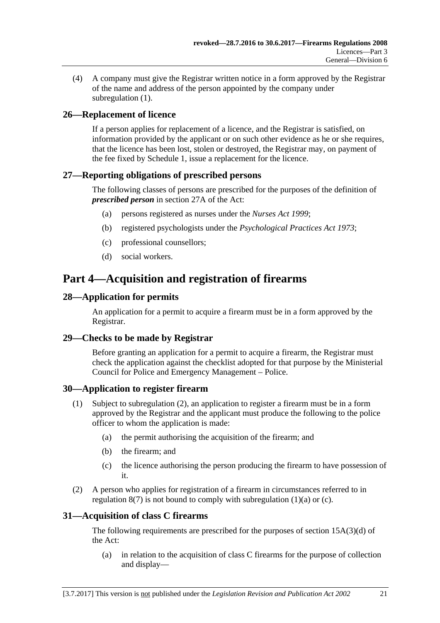(4) A company must give the Registrar written notice in a form approved by the Registrar of the name and address of the person appointed by the company under [subregulation](#page-19-6)  $(1)$ .

### <span id="page-20-0"></span>**26—Replacement of licence**

If a person applies for replacement of a licence, and the Registrar is satisfied, on information provided by the applicant or on such other evidence as he or she requires, that the licence has been lost, stolen or destroyed, the Registrar may, on payment of the fee fixed by Schedule 1, issue a replacement for the licence.

### <span id="page-20-1"></span>**27—Reporting obligations of prescribed persons**

The following classes of persons are prescribed for the purposes of the definition of *prescribed person* in section 27A of the Act:

- (a) persons registered as nurses under the *[Nurses Act](http://www.legislation.sa.gov.au/index.aspx?action=legref&type=act&legtitle=Nurses%20Act%201999) 1999*;
- (b) registered psychologists under the *[Psychological Practices Act](http://www.legislation.sa.gov.au/index.aspx?action=legref&type=act&legtitle=Psychological%20Practices%20Act%201973) 1973*;
- (c) professional counsellors;
- (d) social workers.

# <span id="page-20-2"></span>**Part 4—Acquisition and registration of firearms**

### <span id="page-20-3"></span>**28—Application for permits**

An application for a permit to acquire a firearm must be in a form approved by the Registrar.

### <span id="page-20-4"></span>**29—Checks to be made by Registrar**

Before granting an application for a permit to acquire a firearm, the Registrar must check the application against the checklist adopted for that purpose by the Ministerial Council for Police and Emergency Management – Police.

### <span id="page-20-5"></span>**30—Application to register firearm**

- <span id="page-20-8"></span>(1) Subject to [subregulation](#page-20-7) (2), an application to register a firearm must be in a form approved by the Registrar and the applicant must produce the following to the police officer to whom the application is made:
	- (a) the permit authorising the acquisition of the firearm; and
	- (b) the firearm; and
	- (c) the licence authorising the person producing the firearm to have possession of it.
- <span id="page-20-9"></span><span id="page-20-7"></span>(2) A person who applies for registration of a firearm in circumstances referred to in [regulation](#page-8-5)  $8(7)$  is not bound to comply with [subregulation](#page-20-8)  $(1)(a)$  or  $(c)$ .

### <span id="page-20-6"></span>**31—Acquisition of class C firearms**

The following requirements are prescribed for the purposes of section  $15A(3)(d)$  of the Act:

(a) in relation to the acquisition of class C firearms for the purpose of collection and display—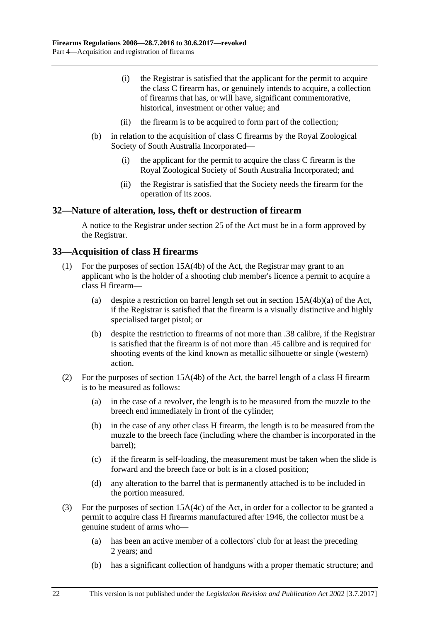- (i) the Registrar is satisfied that the applicant for the permit to acquire the class C firearm has, or genuinely intends to acquire, a collection of firearms that has, or will have, significant commemorative, historical, investment or other value; and
- (ii) the firearm is to be acquired to form part of the collection;
- (b) in relation to the acquisition of class C firearms by the Royal Zoological Society of South Australia Incorporated—
	- (i) the applicant for the permit to acquire the class C firearm is the Royal Zoological Society of South Australia Incorporated; and
	- (ii) the Registrar is satisfied that the Society needs the firearm for the operation of its zoos.

### <span id="page-21-0"></span>**32—Nature of alteration, loss, theft or destruction of firearm**

A notice to the Registrar under section 25 of the Act must be in a form approved by the Registrar.

### <span id="page-21-1"></span>**33—Acquisition of class H firearms**

- (1) For the purposes of section 15A(4b) of the Act, the Registrar may grant to an applicant who is the holder of a shooting club member's licence a permit to acquire a class H firearm—
	- (a) despite a restriction on barrel length set out in section 15A(4b)(a) of the Act, if the Registrar is satisfied that the firearm is a visually distinctive and highly specialised target pistol; or
	- (b) despite the restriction to firearms of not more than .38 calibre, if the Registrar is satisfied that the firearm is of not more than .45 calibre and is required for shooting events of the kind known as metallic silhouette or single (western) action.
- (2) For the purposes of section 15A(4b) of the Act, the barrel length of a class H firearm is to be measured as follows:
	- (a) in the case of a revolver, the length is to be measured from the muzzle to the breech end immediately in front of the cylinder;
	- (b) in the case of any other class H firearm, the length is to be measured from the muzzle to the breech face (including where the chamber is incorporated in the barrel);
	- (c) if the firearm is self-loading, the measurement must be taken when the slide is forward and the breech face or bolt is in a closed position;
	- (d) any alteration to the barrel that is permanently attached is to be included in the portion measured.
- (3) For the purposes of section 15A(4c) of the Act, in order for a collector to be granted a permit to acquire class H firearms manufactured after 1946, the collector must be a genuine student of arms who—
	- (a) has been an active member of a collectors' club for at least the preceding 2 years; and
	- (b) has a significant collection of handguns with a proper thematic structure; and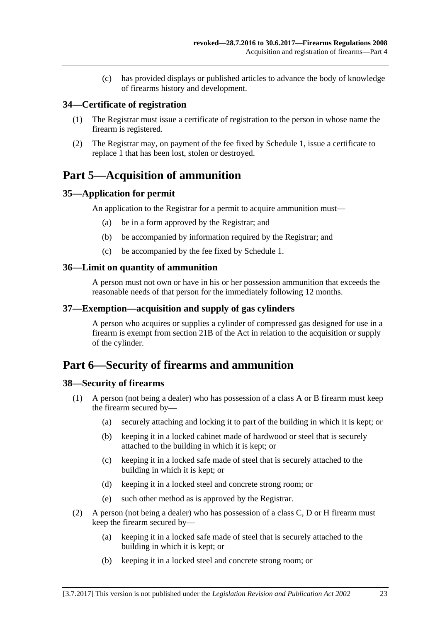(c) has provided displays or published articles to advance the body of knowledge of firearms history and development.

### <span id="page-22-0"></span>**34—Certificate of registration**

- (1) The Registrar must issue a certificate of registration to the person in whose name the firearm is registered.
- (2) The Registrar may, on payment of the fee fixed by Schedule 1, issue a certificate to replace 1 that has been lost, stolen or destroyed.

## <span id="page-22-1"></span>**Part 5—Acquisition of ammunition**

### <span id="page-22-2"></span>**35—Application for permit**

An application to the Registrar for a permit to acquire ammunition must—

- (a) be in a form approved by the Registrar; and
- (b) be accompanied by information required by the Registrar; and
- (c) be accompanied by the fee fixed by Schedule 1.

### <span id="page-22-3"></span>**36—Limit on quantity of ammunition**

A person must not own or have in his or her possession ammunition that exceeds the reasonable needs of that person for the immediately following 12 months.

### <span id="page-22-4"></span>**37—Exemption—acquisition and supply of gas cylinders**

A person who acquires or supplies a cylinder of compressed gas designed for use in a firearm is exempt from section 21B of the Act in relation to the acquisition or supply of the cylinder.

## <span id="page-22-5"></span>**Part 6—Security of firearms and ammunition**

### <span id="page-22-7"></span><span id="page-22-6"></span>**38—Security of firearms**

- <span id="page-22-9"></span>(1) A person (not being a dealer) who has possession of a class A or B firearm must keep the firearm secured by—
	- (a) securely attaching and locking it to part of the building in which it is kept; or
	- (b) keeping it in a locked cabinet made of hardwood or steel that is securely attached to the building in which it is kept; or
	- (c) keeping it in a locked safe made of steel that is securely attached to the building in which it is kept; or
	- (d) keeping it in a locked steel and concrete strong room; or
	- (e) such other method as is approved by the Registrar.
- <span id="page-22-10"></span><span id="page-22-8"></span>(2) A person (not being a dealer) who has possession of a class C, D or H firearm must keep the firearm secured by—
	- (a) keeping it in a locked safe made of steel that is securely attached to the building in which it is kept; or
	- (b) keeping it in a locked steel and concrete strong room; or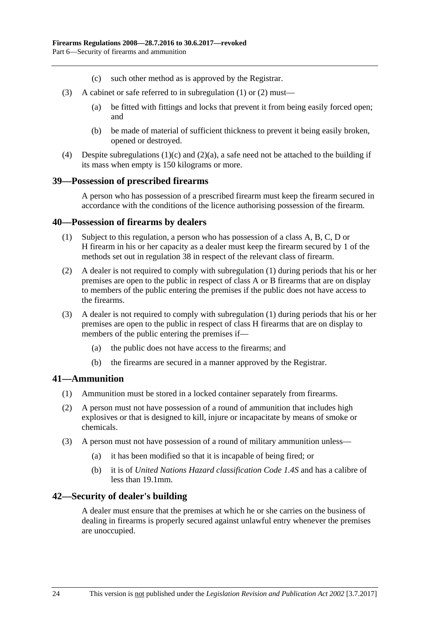- (c) such other method as is approved by the Registrar.
- (3) A cabinet or safe referred to in [subregulation](#page-22-7) (1) or [\(2\)](#page-22-8) must—
	- (a) be fitted with fittings and locks that prevent it from being easily forced open; and
	- (b) be made of material of sufficient thickness to prevent it being easily broken, opened or destroyed.
- (4) Despite [subregulations](#page-22-9)  $(1)(c)$  and  $(2)(a)$ , a safe need not be attached to the building if its mass when empty is 150 kilograms or more.

### <span id="page-23-0"></span>**39—Possession of prescribed firearms**

A person who has possession of a prescribed firearm must keep the firearm secured in accordance with the conditions of the licence authorising possession of the firearm.

### <span id="page-23-4"></span><span id="page-23-1"></span>**40—Possession of firearms by dealers**

- (1) Subject to this regulation, a person who has possession of a class A, B, C, D or H firearm in his or her capacity as a dealer must keep the firearm secured by 1 of the methods set out in [regulation](#page-22-6) 38 in respect of the relevant class of firearm.
- (2) A dealer is not required to comply with [subregulation](#page-23-4) (1) during periods that his or her premises are open to the public in respect of class A or B firearms that are on display to members of the public entering the premises if the public does not have access to the firearms.
- (3) A dealer is not required to comply with [subregulation](#page-23-4) (1) during periods that his or her premises are open to the public in respect of class H firearms that are on display to members of the public entering the premises if—
	- (a) the public does not have access to the firearms; and
	- (b) the firearms are secured in a manner approved by the Registrar.

### <span id="page-23-2"></span>**41—Ammunition**

- (1) Ammunition must be stored in a locked container separately from firearms.
- (2) A person must not have possession of a round of ammunition that includes high explosives or that is designed to kill, injure or incapacitate by means of smoke or chemicals.
- (3) A person must not have possession of a round of military ammunition unless—
	- (a) it has been modified so that it is incapable of being fired; or
	- (b) it is of *United Nations Hazard classification Code 1.4S* and has a calibre of less than 19.1mm.

### <span id="page-23-3"></span>**42—Security of dealer's building**

A dealer must ensure that the premises at which he or she carries on the business of dealing in firearms is properly secured against unlawful entry whenever the premises are unoccupied.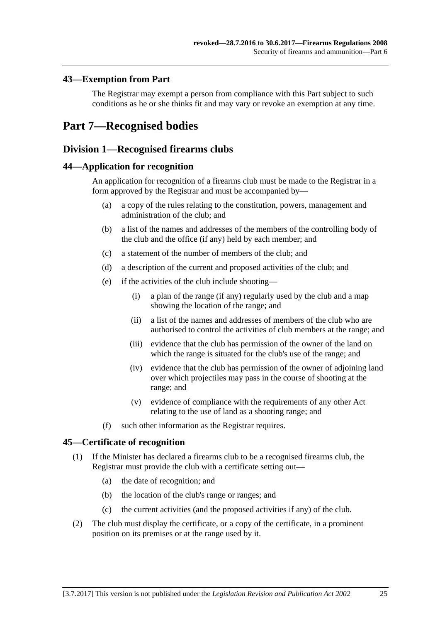### <span id="page-24-0"></span>**43—Exemption from Part**

The Registrar may exempt a person from compliance with this Part subject to such conditions as he or she thinks fit and may vary or revoke an exemption at any time.

## <span id="page-24-2"></span><span id="page-24-1"></span>**Part 7—Recognised bodies**

### **Division 1—Recognised firearms clubs**

### <span id="page-24-3"></span>**44—Application for recognition**

An application for recognition of a firearms club must be made to the Registrar in a form approved by the Registrar and must be accompanied by—

- (a) a copy of the rules relating to the constitution, powers, management and administration of the club; and
- (b) a list of the names and addresses of the members of the controlling body of the club and the office (if any) held by each member; and
- (c) a statement of the number of members of the club; and
- (d) a description of the current and proposed activities of the club; and
- (e) if the activities of the club include shooting—
	- (i) a plan of the range (if any) regularly used by the club and a map showing the location of the range; and
	- (ii) a list of the names and addresses of members of the club who are authorised to control the activities of club members at the range; and
	- (iii) evidence that the club has permission of the owner of the land on which the range is situated for the club's use of the range; and
	- (iv) evidence that the club has permission of the owner of adjoining land over which projectiles may pass in the course of shooting at the range; and
	- (v) evidence of compliance with the requirements of any other Act relating to the use of land as a shooting range; and
- (f) such other information as the Registrar requires.

### <span id="page-24-4"></span>**45—Certificate of recognition**

- (1) If the Minister has declared a firearms club to be a recognised firearms club, the Registrar must provide the club with a certificate setting out—
	- (a) the date of recognition; and
	- (b) the location of the club's range or ranges; and
	- (c) the current activities (and the proposed activities if any) of the club.
- (2) The club must display the certificate, or a copy of the certificate, in a prominent position on its premises or at the range used by it.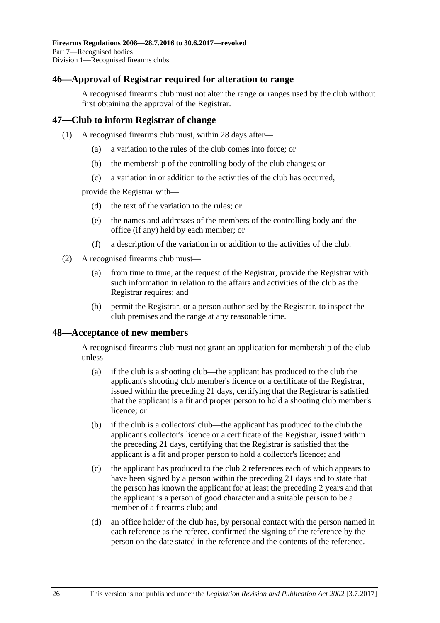### <span id="page-25-0"></span>**46—Approval of Registrar required for alteration to range**

A recognised firearms club must not alter the range or ranges used by the club without first obtaining the approval of the Registrar.

### <span id="page-25-1"></span>**47—Club to inform Registrar of change**

- (1) A recognised firearms club must, within 28 days after—
	- (a) a variation to the rules of the club comes into force; or
	- (b) the membership of the controlling body of the club changes; or
	- (c) a variation in or addition to the activities of the club has occurred,

provide the Registrar with—

- (d) the text of the variation to the rules; or
- (e) the names and addresses of the members of the controlling body and the office (if any) held by each member; or
- (f) a description of the variation in or addition to the activities of the club.
- (2) A recognised firearms club must—
	- (a) from time to time, at the request of the Registrar, provide the Registrar with such information in relation to the affairs and activities of the club as the Registrar requires; and
	- (b) permit the Registrar, or a person authorised by the Registrar, to inspect the club premises and the range at any reasonable time.

### <span id="page-25-2"></span>**48—Acceptance of new members**

A recognised firearms club must not grant an application for membership of the club unless—

- (a) if the club is a shooting club—the applicant has produced to the club the applicant's shooting club member's licence or a certificate of the Registrar, issued within the preceding 21 days, certifying that the Registrar is satisfied that the applicant is a fit and proper person to hold a shooting club member's licence; or
- (b) if the club is a collectors' club—the applicant has produced to the club the applicant's collector's licence or a certificate of the Registrar, issued within the preceding 21 days, certifying that the Registrar is satisfied that the applicant is a fit and proper person to hold a collector's licence; and
- (c) the applicant has produced to the club 2 references each of which appears to have been signed by a person within the preceding 21 days and to state that the person has known the applicant for at least the preceding 2 years and that the applicant is a person of good character and a suitable person to be a member of a firearms club; and
- (d) an office holder of the club has, by personal contact with the person named in each reference as the referee, confirmed the signing of the reference by the person on the date stated in the reference and the contents of the reference.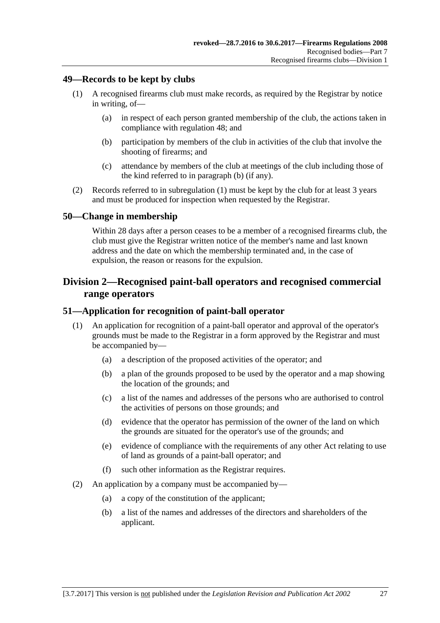### <span id="page-26-5"></span><span id="page-26-0"></span>**49—Records to be kept by clubs**

- <span id="page-26-4"></span>(1) A recognised firearms club must make records, as required by the Registrar by notice in writing, of—
	- (a) in respect of each person granted membership of the club, the actions taken in compliance with [regulation](#page-25-2) 48; and
	- (b) participation by members of the club in activities of the club that involve the shooting of firearms; and
	- (c) attendance by members of the club at meetings of the club including those of the kind referred to in [paragraph](#page-26-4) (b) (if any).
- (2) Records referred to in [subregulation](#page-26-5) (1) must be kept by the club for at least 3 years and must be produced for inspection when requested by the Registrar.

### <span id="page-26-1"></span>**50—Change in membership**

Within 28 days after a person ceases to be a member of a recognised firearms club, the club must give the Registrar written notice of the member's name and last known address and the date on which the membership terminated and, in the case of expulsion, the reason or reasons for the expulsion.

### <span id="page-26-2"></span>**Division 2—Recognised paint-ball operators and recognised commercial range operators**

### <span id="page-26-3"></span>**51—Application for recognition of paint-ball operator**

- (1) An application for recognition of a paint-ball operator and approval of the operator's grounds must be made to the Registrar in a form approved by the Registrar and must be accompanied by—
	- (a) a description of the proposed activities of the operator; and
	- (b) a plan of the grounds proposed to be used by the operator and a map showing the location of the grounds; and
	- (c) a list of the names and addresses of the persons who are authorised to control the activities of persons on those grounds; and
	- (d) evidence that the operator has permission of the owner of the land on which the grounds are situated for the operator's use of the grounds; and
	- (e) evidence of compliance with the requirements of any other Act relating to use of land as grounds of a paint-ball operator; and
	- (f) such other information as the Registrar requires.
- (2) An application by a company must be accompanied by—
	- (a) a copy of the constitution of the applicant;
	- (b) a list of the names and addresses of the directors and shareholders of the applicant.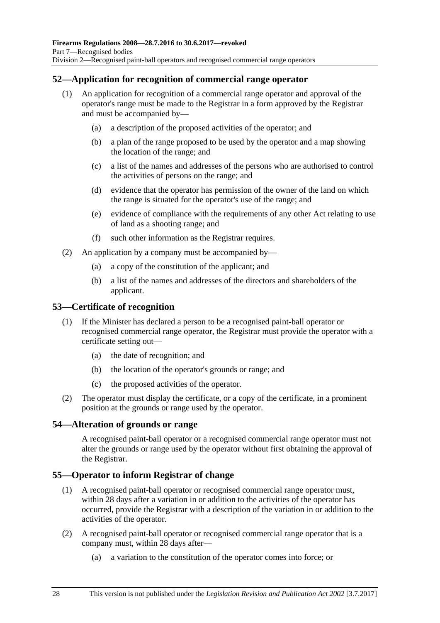### <span id="page-27-0"></span>**52—Application for recognition of commercial range operator**

- (1) An application for recognition of a commercial range operator and approval of the operator's range must be made to the Registrar in a form approved by the Registrar and must be accompanied by—
	- (a) a description of the proposed activities of the operator; and
	- (b) a plan of the range proposed to be used by the operator and a map showing the location of the range; and
	- (c) a list of the names and addresses of the persons who are authorised to control the activities of persons on the range; and
	- (d) evidence that the operator has permission of the owner of the land on which the range is situated for the operator's use of the range; and
	- (e) evidence of compliance with the requirements of any other Act relating to use of land as a shooting range; and
	- (f) such other information as the Registrar requires.
- (2) An application by a company must be accompanied by—
	- (a) a copy of the constitution of the applicant; and
	- (b) a list of the names and addresses of the directors and shareholders of the applicant.

### <span id="page-27-1"></span>**53—Certificate of recognition**

- (1) If the Minister has declared a person to be a recognised paint-ball operator or recognised commercial range operator, the Registrar must provide the operator with a certificate setting out—
	- (a) the date of recognition; and
	- (b) the location of the operator's grounds or range; and
	- (c) the proposed activities of the operator.
- (2) The operator must display the certificate, or a copy of the certificate, in a prominent position at the grounds or range used by the operator.

### <span id="page-27-2"></span>**54—Alteration of grounds or range**

A recognised paint-ball operator or a recognised commercial range operator must not alter the grounds or range used by the operator without first obtaining the approval of the Registrar.

### <span id="page-27-3"></span>**55—Operator to inform Registrar of change**

- (1) A recognised paint-ball operator or recognised commercial range operator must, within 28 days after a variation in or addition to the activities of the operator has occurred, provide the Registrar with a description of the variation in or addition to the activities of the operator.
- (2) A recognised paint-ball operator or recognised commercial range operator that is a company must, within 28 days after—
	- (a) a variation to the constitution of the operator comes into force; or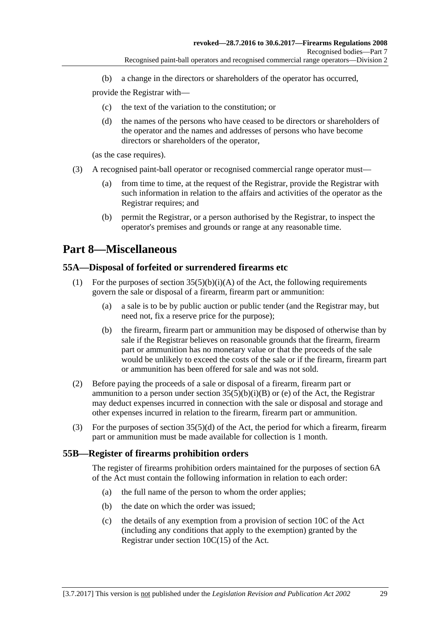(b) a change in the directors or shareholders of the operator has occurred,

provide the Registrar with—

- (c) the text of the variation to the constitution; or
- (d) the names of the persons who have ceased to be directors or shareholders of the operator and the names and addresses of persons who have become directors or shareholders of the operator,

(as the case requires).

- (3) A recognised paint-ball operator or recognised commercial range operator must—
	- (a) from time to time, at the request of the Registrar, provide the Registrar with such information in relation to the affairs and activities of the operator as the Registrar requires; and
	- (b) permit the Registrar, or a person authorised by the Registrar, to inspect the operator's premises and grounds or range at any reasonable time.

# <span id="page-28-0"></span>**Part 8—Miscellaneous**

### <span id="page-28-1"></span>**55A—Disposal of forfeited or surrendered firearms etc**

- (1) For the purposes of section  $35(5)(b)(i)(A)$  of the Act, the following requirements govern the sale or disposal of a firearm, firearm part or ammunition:
	- (a) a sale is to be by public auction or public tender (and the Registrar may, but need not, fix a reserve price for the purpose);
	- (b) the firearm, firearm part or ammunition may be disposed of otherwise than by sale if the Registrar believes on reasonable grounds that the firearm, firearm part or ammunition has no monetary value or that the proceeds of the sale would be unlikely to exceed the costs of the sale or if the firearm, firearm part or ammunition has been offered for sale and was not sold.
- (2) Before paying the proceeds of a sale or disposal of a firearm, firearm part or ammunition to a person under section  $35(5)(b)(i)(B)$  or (e) of the Act, the Registrar may deduct expenses incurred in connection with the sale or disposal and storage and other expenses incurred in relation to the firearm, firearm part or ammunition.
- (3) For the purposes of section 35(5)(d) of the Act, the period for which a firearm, firearm part or ammunition must be made available for collection is 1 month.

### <span id="page-28-2"></span>**55B—Register of firearms prohibition orders**

The register of firearms prohibition orders maintained for the purposes of section 6A of the Act must contain the following information in relation to each order:

- (a) the full name of the person to whom the order applies;
- (b) the date on which the order was issued;
- (c) the details of any exemption from a provision of section 10C of the Act (including any conditions that apply to the exemption) granted by the Registrar under section 10C(15) of the Act.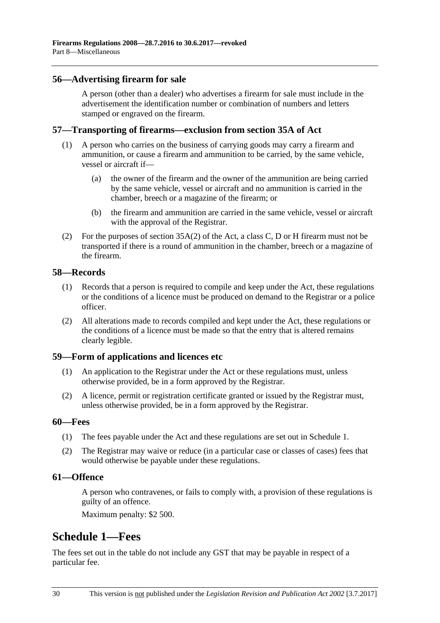### <span id="page-29-0"></span>**56—Advertising firearm for sale**

A person (other than a dealer) who advertises a firearm for sale must include in the advertisement the identification number or combination of numbers and letters stamped or engraved on the firearm.

### <span id="page-29-1"></span>**57—Transporting of firearms—exclusion from section 35A of Act**

- (1) A person who carries on the business of carrying goods may carry a firearm and ammunition, or cause a firearm and ammunition to be carried, by the same vehicle, vessel or aircraft if—
	- (a) the owner of the firearm and the owner of the ammunition are being carried by the same vehicle, vessel or aircraft and no ammunition is carried in the chamber, breech or a magazine of the firearm; or
	- (b) the firearm and ammunition are carried in the same vehicle, vessel or aircraft with the approval of the Registrar.
- (2) For the purposes of section 35A(2) of the Act, a class C, D or H firearm must not be transported if there is a round of ammunition in the chamber, breech or a magazine of the firearm.

### <span id="page-29-2"></span>**58—Records**

- (1) Records that a person is required to compile and keep under the Act, these regulations or the conditions of a licence must be produced on demand to the Registrar or a police officer.
- (2) All alterations made to records compiled and kept under the Act, these regulations or the conditions of a licence must be made so that the entry that is altered remains clearly legible.

### <span id="page-29-3"></span>**59—Form of applications and licences etc**

- (1) An application to the Registrar under the Act or these regulations must, unless otherwise provided, be in a form approved by the Registrar.
- (2) A licence, permit or registration certificate granted or issued by the Registrar must, unless otherwise provided, be in a form approved by the Registrar.

### <span id="page-29-4"></span>**60—Fees**

- (1) The fees payable under the Act and these regulations are set out in Schedule 1.
- (2) The Registrar may waive or reduce (in a particular case or classes of cases) fees that would otherwise be payable under these regulations.

### <span id="page-29-5"></span>**61—Offence**

A person who contravenes, or fails to comply with, a provision of these regulations is guilty of an offence.

Maximum penalty: \$2 500.

## <span id="page-29-6"></span>**Schedule 1—Fees**

The fees set out in the table do not include any GST that may be payable in respect of a particular fee.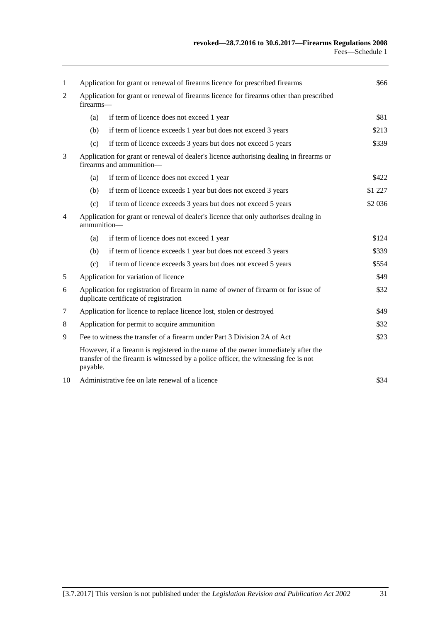| 1      | Application for grant or renewal of firearms licence for prescribed firearms<br>\$66                                                                                                  |                                                                |          |  |
|--------|---------------------------------------------------------------------------------------------------------------------------------------------------------------------------------------|----------------------------------------------------------------|----------|--|
| 2      | Application for grant or renewal of firearms licence for firearms other than prescribed<br>firearms-                                                                                  |                                                                |          |  |
|        | (a)                                                                                                                                                                                   | if term of licence does not exceed 1 year                      | \$81     |  |
|        | (b)                                                                                                                                                                                   | if term of licence exceeds 1 year but does not exceed 3 years  | \$213    |  |
|        | (c)                                                                                                                                                                                   | if term of licence exceeds 3 years but does not exceed 5 years | \$339    |  |
| 3      | Application for grant or renewal of dealer's licence authorising dealing in firearms or<br>firearms and ammunition-                                                                   |                                                                |          |  |
|        | (a)                                                                                                                                                                                   | if term of licence does not exceed 1 year                      | \$422    |  |
|        | (b)                                                                                                                                                                                   | if term of licence exceeds 1 year but does not exceed 3 years  | \$1 227  |  |
|        | (c)                                                                                                                                                                                   | if term of licence exceeds 3 years but does not exceed 5 years | \$2 0 36 |  |
| 4      | Application for grant or renewal of dealer's licence that only authorises dealing in<br>ammunition-                                                                                   |                                                                |          |  |
|        | (a)                                                                                                                                                                                   | if term of licence does not exceed 1 year                      | \$124    |  |
|        | (b)                                                                                                                                                                                   | if term of licence exceeds 1 year but does not exceed 3 years  | \$339    |  |
|        | (c)                                                                                                                                                                                   | if term of licence exceeds 3 years but does not exceed 5 years | \$554    |  |
| 5      | Application for variation of licence                                                                                                                                                  |                                                                | \$49     |  |
| 6      | Application for registration of firearm in name of owner of firearm or for issue of<br>duplicate certificate of registration                                                          |                                                                | \$32     |  |
| $\tau$ | Application for licence to replace licence lost, stolen or destroyed                                                                                                                  |                                                                | \$49     |  |
| 8      | Application for permit to acquire ammunition                                                                                                                                          |                                                                | \$32     |  |
| 9      | Fee to witness the transfer of a firearm under Part 3 Division 2A of Act                                                                                                              |                                                                | \$23     |  |
|        | However, if a firearm is registered in the name of the owner immediately after the<br>transfer of the firearm is witnessed by a police officer, the witnessing fee is not<br>payable. |                                                                |          |  |
| 10     |                                                                                                                                                                                       | Administrative fee on late renewal of a licence                | \$34     |  |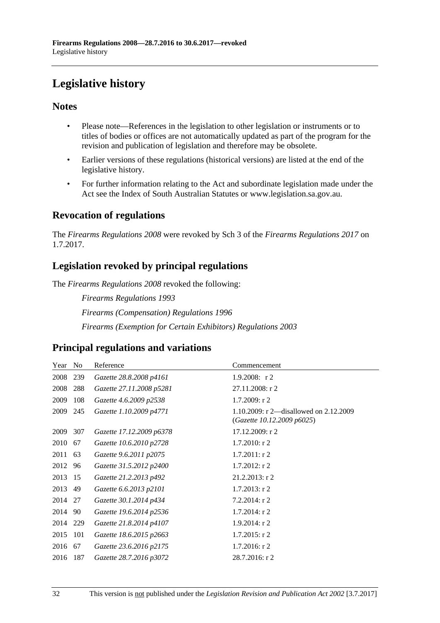# <span id="page-31-0"></span>**Legislative history**

### **Notes**

- Please note—References in the legislation to other legislation or instruments or to titles of bodies or offices are not automatically updated as part of the program for the revision and publication of legislation and therefore may be obsolete.
- Earlier versions of these regulations (historical versions) are listed at the end of the legislative history.
- For further information relating to the Act and subordinate legislation made under the Act see the Index of South Australian Statutes or www.legislation.sa.gov.au.

### **Revocation of regulations**

The *Firearms Regulations 2008* were revoked by Sch 3 of the *Firearms Regulations 2017* on 1.7.2017.

### **Legislation revoked by principal regulations**

The *Firearms Regulations 2008* revoked the following:

*Firearms Regulations 1993 Firearms (Compensation) Regulations 1996 Firearms (Exemption for Certain Exhibitors) Regulations 2003*

### **Principal regulations and variations**

| Year | N <sub>0</sub> | Reference                | Commencement                                                           |
|------|----------------|--------------------------|------------------------------------------------------------------------|
| 2008 | 239            | Gazette 28.8.2008 p4161  | 1.9.2008: $r2$                                                         |
| 2008 | 288            | Gazette 27.11.2008 p5281 | 27.11.2008: r 2                                                        |
| 2009 | 108            | Gazette 4.6.2009 p2538   | 1.7.2009: r 2                                                          |
| 2009 | 245            | Gazette 1.10.2009 p4771  | 1.10.2009: r 2—disallowed on $2.12.2009$<br>(Gazette 10.12.2009 p6025) |
| 2009 | 307            | Gazette 17.12.2009 p6378 | 17.12.2009: r 2                                                        |
| 2010 | 67             | Gazette 10.6.2010 p2728  | $1.7.2010$ : r 2                                                       |
| 2011 | 63             | Gazette 9.6.2011 p2075   | $1.7.2011:$ r 2                                                        |
| 2012 | 96             | Gazette 31.5.2012 p2400  | $1.7.2012$ : r 2                                                       |
| 2013 | 15             | Gazette 21.2.2013 p492   | $21.2.2013$ : r 2                                                      |
| 2013 | 49             | Gazette 6.6.2013 p2101   | $1.7.2013$ : r 2                                                       |
| 2014 | 27             | Gazette 30.1.2014 p434   | $7.2.2014$ : r 2                                                       |
| 2014 | 90             | Gazette 19.6.2014 p2536  | $1.7.2014$ : r 2                                                       |
| 2014 | 229            | Gazette 21.8.2014 p4107  | $1.9.2014$ : r 2                                                       |
| 2015 | 101            | Gazette 18.6.2015 p2663  | $1.7.2015$ : r 2                                                       |
| 2016 | 67             | Gazette 23.6.2016 p2175  | $1.7.2016$ : r 2                                                       |
| 2016 | 187            | Gazette 28.7.2016 p3072  | 28.7.2016: r 2                                                         |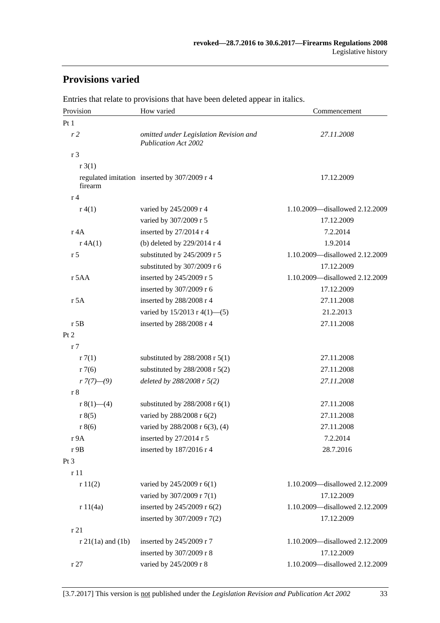# **Provisions varied**

| Provision             | How varied                                                            | Commencement                   |  |
|-----------------------|-----------------------------------------------------------------------|--------------------------------|--|
| Pt1                   |                                                                       |                                |  |
| r <sub>2</sub>        | omitted under Legislation Revision and<br><b>Publication Act 2002</b> | 27.11.2008                     |  |
| r <sub>3</sub>        |                                                                       |                                |  |
| r3(1)                 |                                                                       |                                |  |
| firearm               | regulated imitation inserted by 307/2009 r 4                          | 17.12.2009                     |  |
| r <sub>4</sub>        |                                                                       |                                |  |
| r(4(1))               | varied by 245/2009 r 4                                                | 1.10.2009—disallowed 2.12.2009 |  |
|                       | varied by 307/2009 r 5                                                | 17.12.2009                     |  |
| r 4A                  | inserted by 27/2014 r 4                                               | 7.2.2014                       |  |
| r 4A(1)               | (b) deleted by 229/2014 r 4                                           | 1.9.2014                       |  |
| r <sub>5</sub>        | substituted by 245/2009 r 5                                           | 1.10.2009-disallowed 2.12.2009 |  |
|                       | substituted by 307/2009 r 6                                           | 17.12.2009                     |  |
| r 5AA                 | inserted by 245/2009 r 5                                              | 1.10.2009-disallowed 2.12.2009 |  |
|                       | inserted by 307/2009 r 6                                              | 17.12.2009                     |  |
| r 5A                  | inserted by 288/2008 r 4                                              | 27.11.2008                     |  |
|                       | varied by 15/2013 r 4(1)-(5)                                          | 21.2.2013                      |  |
| $r$ 5B                | inserted by 288/2008 r 4                                              | 27.11.2008                     |  |
| Pt 2                  |                                                                       |                                |  |
| r <sub>7</sub>        |                                                                       |                                |  |
| r7(1)                 | substituted by $288/2008$ r $5(1)$                                    | 27.11.2008                     |  |
| r7(6)                 | substituted by 288/2008 r 5(2)                                        | 27.11.2008                     |  |
| $r \frac{7}{7}(-9)$   | deleted by $288/2008$ r $5(2)$                                        | 27.11.2008                     |  |
| r 8                   |                                                                       |                                |  |
| r $8(1)$ —(4)         | substituted by $288/2008$ r $6(1)$                                    | 27.11.2008                     |  |
| r 8(5)                | varied by 288/2008 r 6(2)                                             | 27.11.2008                     |  |
| r 8(6)                | varied by 288/2008 r 6(3), (4)                                        | 27.11.2008                     |  |
| r 9A                  | inserted by 27/2014 r 5                                               | 7.2.2014                       |  |
| r 9B                  | inserted by 187/2016 r 4                                              | 28.7.2016                      |  |
| $Pt\,3$               |                                                                       |                                |  |
| r 11                  |                                                                       |                                |  |
| r11(2)                | varied by 245/2009 r 6(1)                                             | 1.10.2009-disallowed 2.12.2009 |  |
|                       | varied by 307/2009 r 7(1)                                             | 17.12.2009                     |  |
| r 11(4a)              | inserted by 245/2009 r 6(2)                                           | 1.10.2009—disallowed 2.12.2009 |  |
|                       | inserted by 307/2009 r 7(2)                                           | 17.12.2009                     |  |
| r21                   |                                                                       |                                |  |
| $r 21(1a)$ and $(1b)$ | inserted by 245/2009 r 7                                              | 1.10.2009-disallowed 2.12.2009 |  |
|                       | inserted by 307/2009 r 8                                              | 17.12.2009                     |  |
| r27                   | varied by 245/2009 r 8                                                | 1.10.2009-disallowed 2.12.2009 |  |

Entries that relate to provisions that have been deleted appear in italics.